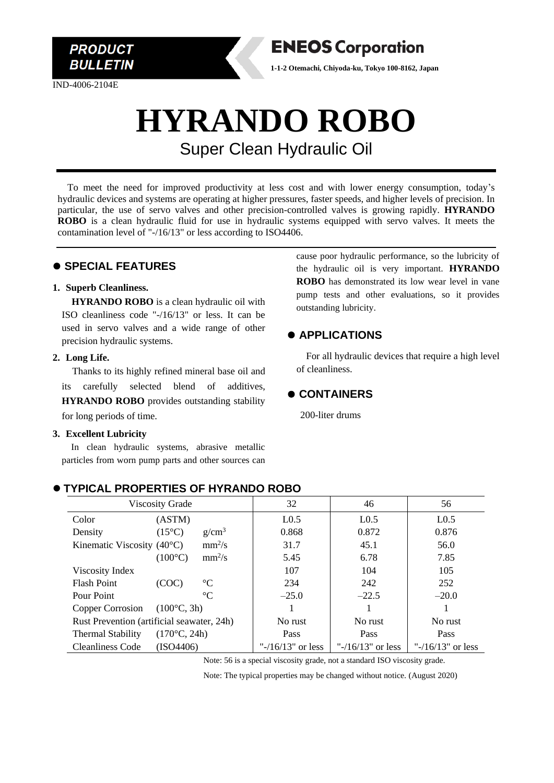

IND-4006-2104E

### **ENEOS Corporation**

**1-1-2 Otemachi, Chiyoda-ku, Tokyo 100-8162, Japan**

## **HYRANDO ROBO** Super Clean Hydraulic Oil

To meet the need for improved productivity at less cost and with lower energy consumption, today's hydraulic devices and systems are operating at higher pressures, faster speeds, and higher levels of precision. In particular, the use of servo valves and other precision-controlled valves is growing rapidly. **HYRANDO ROBO** is a clean hydraulic fluid for use in hydraulic systems equipped with servo valves. It meets the contamination level of "-/16/13" or less according to ISO4406.

#### ⚫ **SPECIAL FEATURES**

#### **1. Superb Cleanliness.**

**HYRANDO ROBO** is a clean hydraulic oil with ISO cleanliness code "-/16/13" or less. It can be used in servo valves and a wide range of other precision hydraulic systems.

#### **2. Long Life.**

Thanks to its highly refined mineral base oil and its carefully selected blend of additives, **HYRANDO ROBO** provides outstanding stability for long periods of time.

#### **3. Excellent Lubricity**

In clean hydraulic systems, abrasive metallic particles from worn pump parts and other sources can

cause poor hydraulic performance, so the lubricity of the hydraulic oil is very important. **HYRANDO ROBO** has demonstrated its low wear level in vane pump tests and other evaluations, so it provides outstanding lubricity.

#### ⚫ **APPLICATIONS**

For all hydraulic devices that require a high level of cleanliness.

#### ⚫ **CONTAINERS**

200-liter drums

| <b>Viscosity Grade</b>                            |                              | 32                   | 46                   | 56                   |
|---------------------------------------------------|------------------------------|----------------------|----------------------|----------------------|
| Color                                             | (ASTM)                       | L <sub>0.5</sub>     | L <sub>0.5</sub>     | L <sub>0.5</sub>     |
| Density                                           | $(15^{\circ}C)$<br>$g/cm^3$  | 0.868                | 0.872                | 0.876                |
| Kinematic Viscosity $(40^{\circ}C)$               | $mm^2/s$                     | 31.7                 | 45.1                 | 56.0                 |
|                                                   | $mm^2/s$<br>$(100^{\circ}C)$ | 5.45                 | 6.78                 | 7.85                 |
| Viscosity Index                                   |                              | 107                  | 104                  | 105                  |
| <b>Flash Point</b>                                | $\rm ^{\circ}C$<br>(COC)     | 234                  | 242                  | 252                  |
| Pour Point                                        | $\rm ^{\circ}C$              | $-25.0$              | $-22.5$              | $-20.0$              |
| Copper Corrosion                                  | $(100^{\circ}C, 3h)$         |                      |                      |                      |
| Rust Prevention (artificial seawater, 24h)        |                              | No rust              | No rust              | No rust              |
| $(170^{\circ}C, 24h)$<br><b>Thermal Stability</b> |                              | Pass                 | Pass                 | Pass                 |
| <b>Cleanliness Code</b>                           | (ISO4406)                    | " $-16/13$ " or less | " $-16/13$ " or less | " $-16/13$ " or less |

#### ⚫ **TYPICAL PROPERTIES OF HYRANDO ROBO**

Note: 56 is a special viscosity grade, not a standard ISO viscosity grade.

Note: The typical properties may be changed without notice. (August 2020)